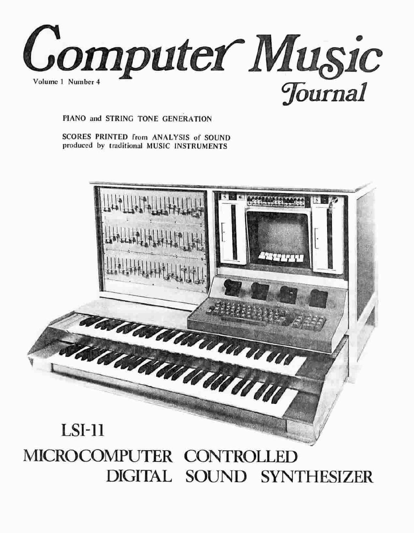

PIANO and STRING TONE GENERATION

SCORES PRINTED from ANALYSIS of SOUND produced by traditional MUSIC INSTRUMENTS

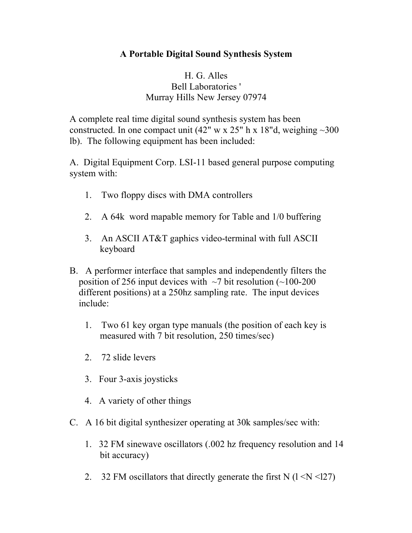## **A Portable Digital Sound Synthesis System**

## H. G. Alles Bell Laboratories ' Murray Hills New Jersey 07974

A complete real time digital sound synthesis system has been constructed. In one compact unit (42" w x 25" h x 18"d, weighing  $\sim$ 300 lb). The following equipment has been included:

A. Digital Equipment Corp. LSI-11 based general purpose computing system with:

- 1. Two floppy discs with DMA controllers
- 2. A 64k word mapable memory for Table and 1/0 buffering
- 3. An ASCII AT&T gaphics video-terminal with full ASCII keyboard
- B. A performer interface that samples and independently filters the position of 256 input devices with  $\sim$ 7 bit resolution ( $\sim$ 100-200 different positions) at a 250hz sampling rate. The input devices include:
	- 1. Two 61 key organ type manuals (the position of each key is measured with 7 bit resolution, 250 times/sec)
	- 2. 72 slide levers
	- 3. Four 3-axis joysticks
	- 4. A variety of other things
- C. A 16 bit digital synthesizer operating at 30k samples/sec with:
	- 1. 32 FM sinewave oscillators (.002 hz frequency resolution and 14 bit accuracy)
	- 2. 32 FM oscillators that directly generate the first N  $(1 \le N \le 127)$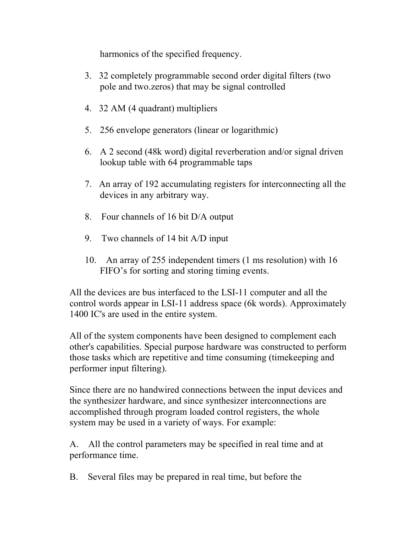harmonics of the specified frequency.

- 3. 32 completely programmable second order digital filters (two pole and two.zeros) that may be signal controlled
- 4. 32 AM (4 quadrant) multipliers
- 5. 256 envelope generators (linear or logarithmic)
- 6. A 2 second (48k word) digital reverberation and/or signal driven lookup table with 64 programmable taps
- 7. An array of 192 accumulating registers for interconnecting all the devices in any arbitrary way.
- 8. Four channels of 16 bit D/A output
- 9. Two channels of 14 bit A/D input
- 10. An array of 255 independent timers (1 ms resolution) with 16 FIFO's for sorting and storing timing events.

All the devices are bus interfaced to the LSI-11 computer and all the control words appear in LSI-11 address space (6k words). Approximately 1400 IC's are used in the entire system.

All of the system components have been designed to complement each other's capabilities. Special purpose hardware was constructed to perform those tasks which are repetitive and time consuming (timekeeping and performer input filtering).

Since there are no handwired connections between the input devices and the synthesizer hardware, and since synthesizer interconnections are accomplished through program loaded control registers, the whole system may be used in a variety of ways. For example:

A. All the control parameters may be specified in real time and at performance time.

B. Several files may be prepared in real time, but before the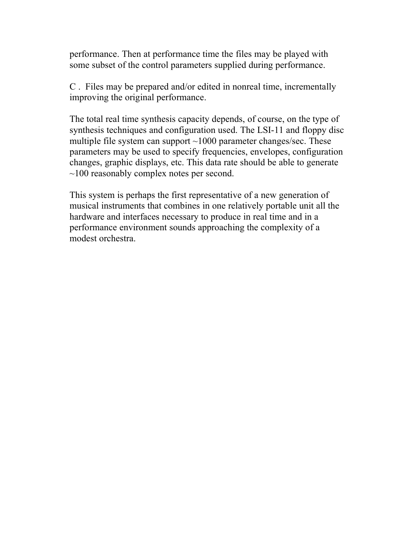performance. Then at performance time the files may be played with some subset of the control parameters supplied during performance.

C . Files may be prepared and/or edited in nonreal time, incrementally improving the original performance.

The total real time synthesis capacity depends, of course, on the type of synthesis techniques and configuration used. The LSI-11 and floppy disc multiple file system can support  $\sim$ 1000 parameter changes/sec. These parameters may be used to specify frequencies, envelopes, configuration changes, graphic displays, etc. This data rate should be able to generate ~100 reasonably complex notes per second.

This system is perhaps the first representative of a new generation of musical instruments that combines in one relatively portable unit all the hardware and interfaces necessary to produce in real time and in a performance environment sounds approaching the complexity of a modest orchestra.